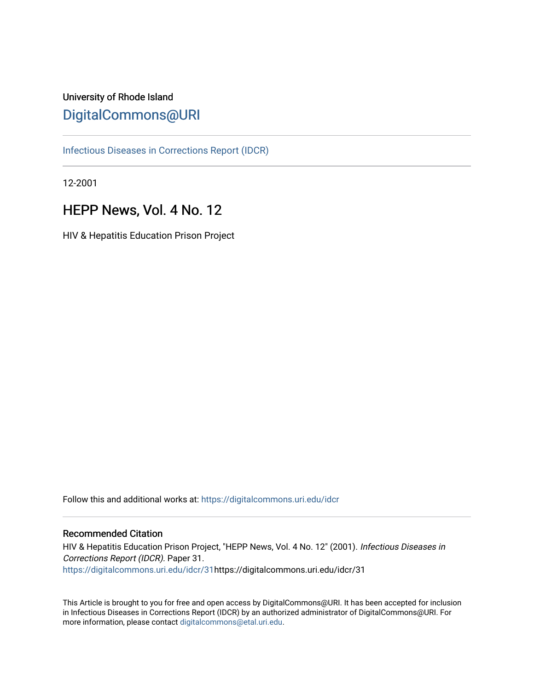# University of Rhode Island [DigitalCommons@URI](https://digitalcommons.uri.edu/)

[Infectious Diseases in Corrections Report \(IDCR\)](https://digitalcommons.uri.edu/idcr)

12-2001

# HEPP News, Vol. 4 No. 12

HIV & Hepatitis Education Prison Project

Follow this and additional works at: [https://digitalcommons.uri.edu/idcr](https://digitalcommons.uri.edu/idcr?utm_source=digitalcommons.uri.edu%2Fidcr%2F31&utm_medium=PDF&utm_campaign=PDFCoverPages)

# Recommended Citation

HIV & Hepatitis Education Prison Project, "HEPP News, Vol. 4 No. 12" (2001). Infectious Diseases in Corrections Report (IDCR). Paper 31. [https://digitalcommons.uri.edu/idcr/31h](https://digitalcommons.uri.edu/idcr/31?utm_source=digitalcommons.uri.edu%2Fidcr%2F31&utm_medium=PDF&utm_campaign=PDFCoverPages)ttps://digitalcommons.uri.edu/idcr/31

This Article is brought to you for free and open access by DigitalCommons@URI. It has been accepted for inclusion in Infectious Diseases in Corrections Report (IDCR) by an authorized administrator of DigitalCommons@URI. For more information, please contact [digitalcommons@etal.uri.edu.](mailto:digitalcommons@etal.uri.edu)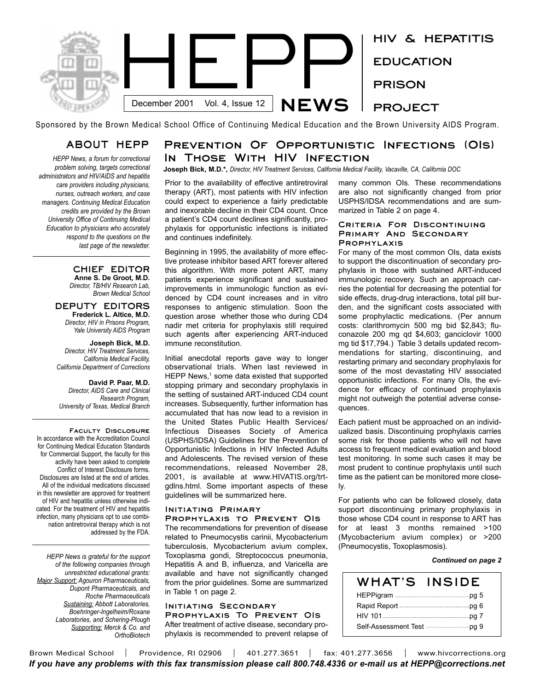

Sponsored by the Brown Medical School Office of Continuing Medical Education and the Brown University AIDS Program.

# **ABOUT HEPP**

*HEPP News, a forum for correctional problem solving, targets correctional administrators and HIV/AIDS and hepatitis care providers including physicians, nurses, outreach workers, and case managers. Continuing Medical Education credits are provided by the Brown University Office of Continuing Medical Education to physicians who accurately respond to the questions on the last page of the newsletter.* 

### **CHIEF EDITOR Anne S. De Groot, M.D.** *Director, TB/HIV Research Lab,*

*Brown Medical School*

### **DEPUTY EDITORS Frederick L. Altice, M.D.** *Director, HIV in Prisons Program, Yale University AIDS Program*

**Joseph Bick, M.D.** *Director, HIV Treatment Services, California Medical Facility, California Department of Corrections*

**David P. Paar, M.D.** *Director, AIDS Care and Clinical Research Program, University of Texas, Medical Branch*

**Faculty Disclosure**  In accordance with the Accreditation Council for Continuing Medical Education Standards for Commercial Support, the faculty for this activity have been asked to complete Conflict of Interest Disclosure forms. Disclosures are listed at the end of articles. All of the individual medications discussed in this newsletter are approved for treatment of HIV and hepatitis unless otherwise indicated. For the treatment of HIV and hepatitis infection, many physicians opt to use combination antiretroviral therapy which is not addressed by the FDA.

*HEPP News is grateful for the support of the following companies through unrestricted educational grants: Major Support: Agouron Pharmaceuticals, Dupont Pharmaceuticals, and Roche Pharmaceuticals Sustaining: Abbott Laboratories, Boehringer-Ingelheim/Roxane Laboratories, and Schering-Plough Supporting: Merck & Co. and OrthoBiotech*

# **Prevention Of Opportunistic Infections (OIs) In Those With HIV Infection**

**Joseph Bick, M.D.\*,** *Director, HIV Treatment Services, California Medical Facility, Vacaville, CA, California DOC*

Prior to the availability of effective antiretroviral therapy (ART), most patients with HIV infection could expect to experience a fairly predictable and inexorable decline in their CD4 count. Once a patient's CD4 count declines significantly, prophylaxis for opportunistic infections is initiated and continues indefinitely.

Beginning in 1995, the availability of more effective protease inhibitor based ART forever altered this algorithm. With more potent ART, many patients experience significant and sustained improvements in immunologic function as evidenced by CD4 count increases and in vitro responses to antigenic stimulation. Soon the question arose whether those who during CD4 nadir met criteria for prophylaxis still required such agents after experiencing ART-induced immune reconstitution.

Initial anecdotal reports gave way to longer observational trials. When last reviewed in HEPP News, $<sup>1</sup>$  some data existed that supported</sup> stopping primary and secondary prophylaxis in the setting of sustained ART-induced CD4 count increases. Subsequently, further information has accumulated that has now lead to a revision in the United States Public Health Services/ Infectious Diseases Society of America (USPHS/IDSA) Guidelines for the Prevention of Opportunistic Infections in HIV Infected Adults and Adolescents. The revised version of these recommendations, released November 28, 2001, is available at www.HIVATIS.org/trtgdlns.html. Some important aspects of these guidelines will be summarized here.

### **Initiating Primary**

**Prophylaxis to Prevent OIs** The recommendations for prevention of disease related to Pneumocystis carinii, Mycobacterium tuberculosis, Mycobacterium avium complex, Toxoplasma gondi, Streptococcus pneumonia, Hepatitis A and B, influenza, and Varicella are available and have not significantly changed from the prior guidelines. Some are summarized in Table 1 on page 2.

# **Initiating Secondary**

**Prophylaxis To Prevent OIs** After treatment of active disease, secondary prophylaxis is recommended to prevent relapse of many common OIs. These recommendations are also not significantly changed from prior USPHS/IDSA recommendations and are summarized in Table 2 on page 4.

### **Criteria For Discontinuing Primary And Secondary Prophylaxis**

For many of the most common OIs, data exists to support the discontinuation of secondary prophylaxis in those with sustained ART-induced immunologic recovery. Such an approach carries the potential for decreasing the potential for side effects, drug-drug interactions, total pill burden, and the significant costs associated with some prophylactic medications. (Per annum costs: clarithromycin 500 mg bid \$2,843; fluconazole 200 mg qd \$4,603; ganciclovir 1000 mg tid \$17,794.) Table 3 details updated recommendations for starting, discontinuing, and restarting primary and secondary prophylaxis for some of the most devastating HIV associated opportunistic infections. For many OIs, the evidence for efficacy of continued prophylaxis might not outweigh the potential adverse consequences.

Each patient must be approached on an individualized basis. Discontinuing prophylaxis carries some risk for those patients who will not have access to frequent medical evaluation and blood test monitoring. In some such cases it may be most prudent to continue prophylaxis until such time as the patient can be monitored more closely.

For patients who can be followed closely, data support discontinuing primary prophylaxis in those whose CD4 count in response to ART has for at least 3 months remained >100 (Mycobacterium avium complex) or >200 (Pneumocystis, Toxoplasmosis).

### *Continued on page 2*

| WHAT'S                                                | INSIDE |
|-------------------------------------------------------|--------|
|                                                       |        |
|                                                       |        |
|                                                       |        |
| Self-Assessment Test <b>Constrainer Property</b> pg 9 |        |

Brown Medical School | Providence, RI 02906 | 401.277.3651 | fax: 401.277.3656 | www.hivcorrections.org *If you have any problems with this fax transmission please call 800.748.4336 or e-mail us at HEPP@corrections.net*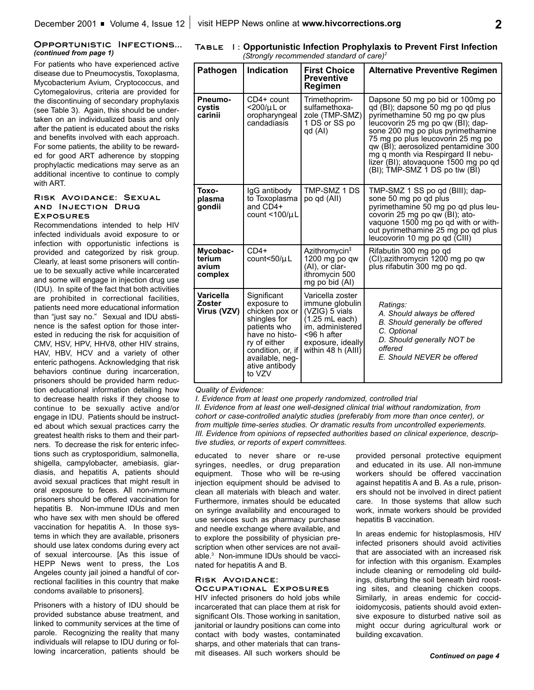### **Opportunistic Infections...** *(continued from page 1)*

For patients who have experienced active disease due to Pneumocystis, Toxoplasma, Mycobacterium Avium, Cryptococcus, and Cytomegalovirus, criteria are provided for the discontinuing of secondary prophylaxis (see Table 3). Again, this should be undertaken on an individualized basis and only after the patient is educated about the risks and benefits involved with each approach. For some patients, the ability to be rewarded for good ART adherence by stopping prophylactic medications may serve as an additional incentive to continue to comply with ART.

### **Risk Avoidance: Sexual and Injection Drug Exposures**

Recommendations intended to help HIV infected individuals avoid exposure to or infection with opportunistic infections is provided and categorized by risk group. Clearly, at least some prisoners will continue to be sexually active while incarcerated and some will engage in injection drug use (IDU). In spite of the fact that both activities are prohibited in correctional facilities, patients need more educational information than "just say no." Sexual and IDU abstinence is the safest option for those interested in reducing the risk for acquisition of CMV, HSV, HPV, HHV8, other HIV strains, HAV, HBV, HCV and a variety of other enteric pathogens. Acknowledging that risk behaviors continue during incarceration, prisoners should be provided harm reduction educational information detailing how to decrease health risks if they choose to continue to be sexually active and/or engage in IDU. Patients should be instructed about which sexual practices carry the greatest health risks to them and their partners. To decrease the risk for enteric infections such as cryptosporidium, salmonella, shigella, campylobacter, amebiasis, giardiasis, and hepatitis A, patients should avoid sexual practices that might result in oral exposure to feces. All non-immune prisoners should be offered vaccination for hepatitis B. Non-immune IDUs and men who have sex with men should be offered vaccination for hepatitis A. In those systems in which they are available, prisoners should use latex condoms during every act of sexual intercourse. [As this issue of HEPP News went to press, the Los Angeles county jail joined a handful of correctional facilities in this country that make condoms available to prisoners].

Prisoners with a history of IDU should be provided substance abuse treatment, and linked to community services at the time of parole. Recognizing the reality that many individuals will relapse to IDU during or following incarceration, patients should be

| TABLE I: Opportunistic Infection Prophylaxis to Prevent First Infection |
|-------------------------------------------------------------------------|
| (Strongly recommended standard of care) <sup>2</sup>                    |

| Pathogen                                  | Indication                                                                                                                                                                         | <b>First Choice</b>                                                                                                                                             | <b>Alternative Preventive Regimen</b>                                                                                                                                                                                                                                                                                                                                          |  |
|-------------------------------------------|------------------------------------------------------------------------------------------------------------------------------------------------------------------------------------|-----------------------------------------------------------------------------------------------------------------------------------------------------------------|--------------------------------------------------------------------------------------------------------------------------------------------------------------------------------------------------------------------------------------------------------------------------------------------------------------------------------------------------------------------------------|--|
|                                           |                                                                                                                                                                                    | <b>Preventive</b><br>Regimen                                                                                                                                    |                                                                                                                                                                                                                                                                                                                                                                                |  |
| Pneumo-<br>cystis<br>carinii              | CD4+ count<br><200/µ L or<br>oropharyngeal<br>candadiasis                                                                                                                          | Trimethoprim-<br>sulfamethoxa-<br>zole (TMP-SMZ)<br>1 DS or SS po<br>qd (AI)                                                                                    | Dapsone 50 mg po bid or 100mg po<br>qd (BI); dapsone 50 mg po qd plus<br>pyrimethamine 50 mg po qw plus<br>leucovorin 25 mg po qw (BI); dap-<br>sone 200 mg po plus pyrimethamine<br>75 mg po plus leucovorin 25 mg po<br>qw (BI); aerosolized pentamidine 300<br>mg q month via Respirgard II nebu-<br>lizer (BI); atovaquone 1500 mg po qd<br>(BI); TMP-SMZ 1 DS po tiw (BI) |  |
| Toxo-<br>plasma<br>gondii                 | IgG antibody<br>to Toxoplasma<br>and CD4+<br>count < $100/\mu$ L                                                                                                                   | TMP-SMZ 1 DS<br>po qd (All)                                                                                                                                     | TMP-SMZ 1 SS po qd (BIII); dap-<br>sone 50 mg po qd plus<br>pyrimethamine 50 mg po qd plus leu-<br>covorin 25 mg po qw (BI); ato-<br>vaquone 1500 mg po qd with or with-<br>out pyrimethamine 25 mg po qd plus<br>leucovorin 10 mg po qd (CIII)                                                                                                                                |  |
| Mycobac-<br>terium<br>avium<br>complex    | $CD4+$<br>count<50/ $\mu$ L                                                                                                                                                        | Azithromycin <sup>‡</sup><br>1200 mg po qw<br>(AI), or clar-<br>ithromycin 500<br>mg po bid (AI)                                                                | Rifabutin 300 mg po qd<br>(CI); azithromycin 1200 mg po qw<br>plus rifabutin 300 mg po gd.                                                                                                                                                                                                                                                                                     |  |
| Varicella<br><b>Zoster</b><br>Virus (VZV) | Significant<br>exposure to<br>chicken pox or<br>shingles for<br>patients who<br>have no histo-<br>ry of either<br>condition, or, if<br>available, neg-<br>ative antibody<br>to VZV | Varicella zoster<br>immune globulin<br>(VZIG) 5 vials<br>$(1.25 \text{ mL each})$<br>im, administered<br><96 h after<br>exposure, ideally<br>within 48 h (AIII) | Ratings:<br>A. Should always be offered<br>B. Should generally be offered<br>C. Optional<br>D. Should generally NOT be<br>offered<br>E. Should NEVER be offered                                                                                                                                                                                                                |  |

### *Quality of Evidence:*

*I. Evidence from at least one properly randomized, controlled trial II. Evidence from at least one well-designed clinical trial without randomization, from cohort or case-controlled analytic studies (preferably from more than once center), or from multiple time-series studies. Or dramatic results from uncontrolled experiements. III. Evidence from opinions of repsected authorities based on clinical experience, descriptive studies, or reports of expert committees.*

educated to never share or re-use syringes, needles, or drug preparation equipment. Those who will be re-using injection equipment should be advised to clean all materials with bleach and water. Furthermore, inmates should be educated on syringe availability and encouraged to use services such as pharmacy purchase and needle exchange where available, and to explore the possibility of physician prescription when other services are not available.3 Non-immune IDUs should be vaccinated for hepatitis A and B.

## **Risk Avoidance:**

## **Occupational Exposures**

HIV infected prisoners do hold jobs while incarcerated that can place them at risk for significant OIs. Those working in sanitation, janitorial or laundry positions can come into contact with body wastes, contaminated sharps, and other materials that can transmit diseases. All such workers should be provided personal protective equipment and educated in its use. All non-immune workers should be offered vaccination against hepatitis A and B. As a rule, prisoners should not be involved in direct patient care. In those systems that allow such work, inmate workers should be provided hepatitis B vaccination.

In areas endemic for histoplasmosis, HIV infected prisoners should avoid activities that are associated with an increased risk for infection with this organism. Examples include cleaning or remodeling old buildings, disturbing the soil beneath bird roosting sites, and cleaning chicken coops. Similarly, in areas endemic for coccidioidomycosis, patients should avoid extensive exposure to disturbed native soil as might occur during agricultural work or building excavation.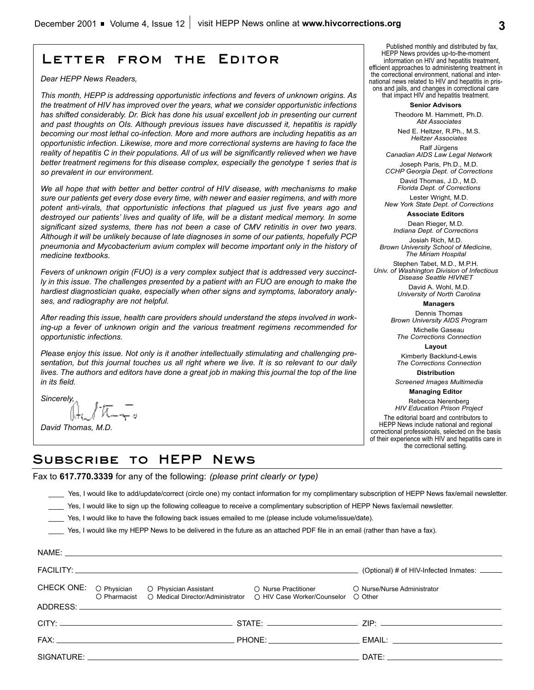# **Letter from the Editor**

*Dear HEPP News Readers,*

*This month, HEPP is addressing opportunistic infections and fevers of unknown origins. As the treatment of HIV has improved over the years, what we consider opportunistic infections has shifted considerably. Dr. Bick has done his usual excellent job in presenting our current and past thoughts on OIs. Although previous issues have discussed it, hepatitis is rapidly becoming our most lethal co-infection. More and more authors are including hepatitis as an opportunistic infection. Likewise, more and more correctional systems are having to face the reality of hepatitis C in their populations. All of us will be significantly relieved when we have better treatment regimens for this disease complex, especially the genotype 1 series that is so prevalent in our environment.* 

*We all hope that with better and better control of HIV disease, with mechanisms to make sure our patients get every dose every time, with newer and easier regimens, and with more potent anti-virals, that opportunistic infections that plagued us just five years ago and destroyed our patients' lives and quality of life, will be a distant medical memory. In some significant sized systems, there has not been a case of CMV retinitis in over two years. Although it will be unlikely because of late diagnoses in some of our patients, hopefully PCP pneumonia and Mycobacterium avium complex will become important only in the history of medicine textbooks.*

*Fevers of unknown origin (FUO) is a very complex subject that is addressed very succinctly in this issue. The challenges presented by a patient with an FUO are enough to make the hardiest diagnostician quake, especially when other signs and symptoms, laboratory analyses, and radiography are not helpful.* 

*After reading this issue, health care providers should understand the steps involved in working-up a fever of unknown origin and the various treatment regimens recommended for opportunistic infections.*

*Please enjoy this issue. Not only is it another intellectually stimulating and challenging presentation, but this journal touches us all right where we live. It is so relevant to our daily lives. The authors and editors have done a great job in making this journal the top of the line in its field.* 

*Sincerely,*

NAME:

*David Thomas, M.D.*

Published monthly and distributed by fax, HEPP News provides up-to-the-moment information on HIV and hepatitis treatment, efficient approaches to administering treatment in the correctional environment, national and international news related to HIV and hepatitis in prisons and jails, and changes in correctional care that impact HIV and hepatitis treatment.

**Senior Advisors**

Theodore M. Hammett, Ph.D. *Abt Associates*

Ned E. Heltzer, R.Ph., M.S. *Heltzer Associates* Ralf Jürgens

*Canadian AIDS Law Legal Network* Joseph Paris, Ph.D., M.D. *CCHP Georgia Dept. of Corrections* 

David Thomas, J.D., M.D.

*Florida Dept. of Corrections* Lester Wright, M.D.

*New York State Dept. of Corrections* **Associate Editors**

Dean Rieger, M.D.

*Indiana Dept. of Corrections* Josiah Rich, M.D.

*Brown University School of Medicine, The Miriam Hospital*

Stephen Tabet, M.D., M.P.H. *Univ. of Washington Division of Infectious Disease Seattle HIVNET*

> David A. Wohl, M.D. *University of North Carolina*

> > **Managers**

Dennis Thomas *Brown University AIDS Program*

Michelle Gaseau *The Corrections Connection*

**Layout**

Kimberly Backlund-Lewis *The Corrections Connection*

**Distribution**

*Screened Images Multimedia* **Managing Editor** 

Rebecca Nerenberg *HIV Education Prison Project* The editorial board and contributors to HEPP News include national and regional correctional professionals, selected on the basis of their experience with HIV and hepatitis care in the correctional setting.

# **Subscribe to HEPP News**

Fax to **617.770.3339** for any of the following: *(please print clearly or type)*

\_\_\_\_ Yes, I would like to add/update/correct (circle one) my contact information for my complimentary subscription of HEPP News fax/email newsletter.

Yes, I would like to sign up the following colleague to receive a complimentary subscription of HEPP News fax/email newsletter.

\_\_\_\_ Yes, I would like to have the following back issues emailed to me (please include volume/issue/date).

Yes, I would like my HEPP News to be delivered in the future as an attached PDF file in an email (rather than have a fax).

| (Optional) # of HIV-Infected Inmates: _____                                                                                                                                                                                    |
|--------------------------------------------------------------------------------------------------------------------------------------------------------------------------------------------------------------------------------|
| O Nurse/Nurse Administrator<br>O Pharmacist O Medical Director/Administrator O HIV Case Worker/Counselor O Other                                                                                                               |
|                                                                                                                                                                                                                                |
|                                                                                                                                                                                                                                |
|                                                                                                                                                                                                                                |
| DATE: the contract of the contract of the contract of the contract of the contract of the contract of the contract of the contract of the contract of the contract of the contract of the contract of the contract of the cont |
|                                                                                                                                                                                                                                |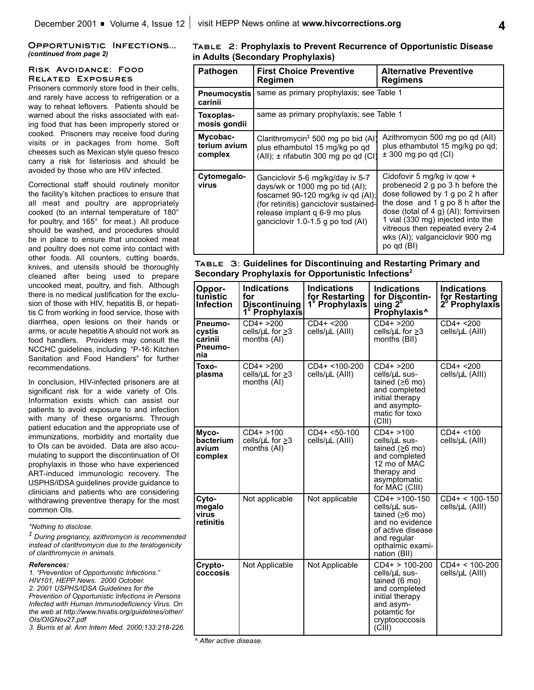### **Opportunistic Infections...** *(continued from page 2)*

## **Risk Avoidance: Food Related Exposures**

Prisoners commonly store food in their cells, and rarely have access to refrigeration or a way to reheat leftovers. Patients should be warned about the risks associated with eating food that has been improperly stored or cooked. Prisoners may receive food during visits or in packages from home. Soft cheeses such as Mexican style queso fresco carry a risk for listeriosis and should be avoided by those who are HIV infected.

Correctional staff should routinely monitor the facility's kitchen practices to ensure that all meat and poultry are appropriately cooked (to an internal temperature of 180° for poultry, and 165° for meat.) All produce should be washed, and procedures should be in place to ensure that uncooked meat and poultry does not come into contact with other foods. All counters, cutting boards, knives, and utensils should be thoroughly cleaned after being used to prepare uncooked meat, poultry, and fish. Although there is no medical justification for the exclusion of those with HIV, hepatitis B, or hepatitis C from working in food service, those with diarrhea, open lesions on their hands or arms, or acute hepatitis A should not work as food handlers. Providers may consult the NCCHC guidelines, including "P-16: Kitchen Sanitation and Food Handlers" for further recommendations.

In conclusion, HIV-infected prisoners are at significant risk for a wide variety of OIs. Information exists which can assist our patients to avoid exposure to and infection with many of these organisms. Through patient education and the appropriate use of immunizations, morbidity and mortality due to OIs can be avoided. Data are also accumulating to support the discontinuation of OI prophylaxis in those who have experienced ART-induced immunologic recovery. The USPHS/IDSA guidelines provide guidance to clinicians and patients who are considering withdrawing preventive therapy for the most common OIs.

*\*Nothing to disclose.*

*‡ During pregnancy, azithromycin is recommended instead of clarithromycin due to the teratogenicity of clarithromycin in animals.*

*References:*

*1. "Prevention of Opportunistic Infections." HIV101, HEPP News. 2000 October. 2. 2001 USPHS/IDSA Guidelines for the Prevention of Opportunistic Infections in Persons Infected with Human Immunodeficiency Virus. On the web at http://www.hivatis.org/guidelines/other/ OIs/OIGNov27.pdf*

*3. Burris et al. Ann Intern Med. 2000;133:218-226.*

## **Table 2: Prophylaxis to Prevent Recurrence of Opportunistic Disease in Adults (Secondary Prophylaxis)**

| <b>Pathogen</b>                                                                                                                                                                                                                                                 | <b>First Choice Preventive</b><br>Regimen                                                                                | <b>Alternative Preventive</b><br><b>Regimens</b>                                                                                                                                                                                                                                             |  |
|-----------------------------------------------------------------------------------------------------------------------------------------------------------------------------------------------------------------------------------------------------------------|--------------------------------------------------------------------------------------------------------------------------|----------------------------------------------------------------------------------------------------------------------------------------------------------------------------------------------------------------------------------------------------------------------------------------------|--|
| Pneumocystis<br>carinii                                                                                                                                                                                                                                         | same as primary prophylaxis; see Table 1                                                                                 |                                                                                                                                                                                                                                                                                              |  |
| Toxoplas-<br>mosis gondii                                                                                                                                                                                                                                       | same as primary prophylaxis; see Table 1                                                                                 |                                                                                                                                                                                                                                                                                              |  |
| Mycobac-<br>terium avium<br>complex                                                                                                                                                                                                                             | Clarithromycin <sup>‡</sup> 500 mg po bid (AI)<br>plus ethambutol 15 mg/kg po qd<br>(All); ± rifabutin 300 mg po qd (CI) | Azithromycin 500 mg po qd (All)<br>plus ethambutol 15 mg/kg po qd;<br>$± 300$ mg po qd (CI)                                                                                                                                                                                                  |  |
| Cytomegalo-<br>Ganciclovir 5-6 mg/kg/day iv 5-7<br>virus<br>days/wk or 1000 mg po tid (AI);<br>foscarnet 90-120 mg/kg iv qd (AI);<br>(for retinitis) ganciclovir sustained-<br>release implant q 6-9 mo plus<br>ganciclovir 1.0-1.5 g po tod (AI)<br>po qd (BI) |                                                                                                                          | Cidofovir 5 mg/kg iv gow +<br>probenecid 2 g po 3 h before the<br>dose followed by 1 g po 2 h after<br>the dose and 1 g po 8 h after the<br>dose (total of 4 g) (AI); fomivirsen<br>1 vial (330 mg) injected into the<br>vitreous then repeated every 2-4<br>wks (AI); valganciclovir 900 mg |  |

## **Table 3: Guidelines for Discontinuing and Restarting Primary and Secondary Prophylaxis for Opportunistic Infections2**

| Oppor-<br>tunistic<br><b>Infection</b>         | <b>Indications</b><br>for<br><b>Discontinuing</b><br>1 <sup>°</sup> Prophylaxis | <b>Indications</b><br>for Restarting<br>1 <sup>0</sup> Prophylaxis | <b>Indications</b><br>for Discontin-<br>uing 2 <sup>0</sup><br>Prophylaxis <sup>^</sup>                                                         | <b>Indications</b><br>for Restarting<br>$2^{\circ}$ Prophylaxis |
|------------------------------------------------|---------------------------------------------------------------------------------|--------------------------------------------------------------------|-------------------------------------------------------------------------------------------------------------------------------------------------|-----------------------------------------------------------------|
| Pneumo-<br>cystis<br>carinii<br>Pneumo-<br>nia | $CD4+ > 200$<br>cells/ $\mu$ L for $\geq$ 3<br>months (AI)                      | $CD4+ 200$<br>cells/µL (AIII)                                      | $CD4+ > 200$<br>cells/ $\mu$ L for $\geq$ 3<br>months (BII)                                                                                     | $CD4+ < 200$<br>cells/µL (AIII)                                 |
| Toxo-<br>plasma                                | $CD4+ > 200$<br>cells/ $\mu$ L for $\geq$ 3<br>months (AI)                      | CD4+ <100-200<br>cells/µL (AIII)                                   | $CD4+ > 200$<br>cells/uL sus-<br>tained $(≥6$ mo)<br>and completed<br>initial therapy<br>and asympto-<br>matic for toxo<br>(CIII)               | $CD4+ < 200$<br>cells/µL (AIII)                                 |
| Myco-<br>bacterium<br>avium<br>complex         | $CD4+ > 100$<br>cells/ $\mu$ L for $\geq$ 3<br>months (AI)                      | $CD4+ < 50-100$<br>cells/µL (AIII)                                 | $CD4+ > 100$<br>cells/µL sus-<br>tained $(≥6$ mo)<br>and completed<br>12 mo of MAC<br>therapy and<br>asymptomatic<br>for MAC (CIII)             | $CD4+ < 100$<br>cells/µL (AIII)                                 |
| Cyto-<br>megalo<br>virus<br>retinitis          | Not applicable                                                                  | Not applicable                                                     | CD4+ >100-150<br>cells/µL sus-<br>tained $(≥6$ mo)<br>and no evidence<br>of active disease<br>and regular<br>opthalmic exami-<br>nation (BII)   | $CD4+ < 100-150$<br>cells/µL (AIII)                             |
| Crypto-<br>coccosis                            | Not Applicable                                                                  | Not Applicable                                                     | $CD4+ > 100-200$<br>cells/uL sus-<br>tained (6 mo)<br>and completed<br>initial therapy<br>and asym-<br>potamtic for<br>cryptococcosis<br>(CIII) | $CD4+ < 100-200$<br>cells/µL (AIII)                             |

*^ After active disease.*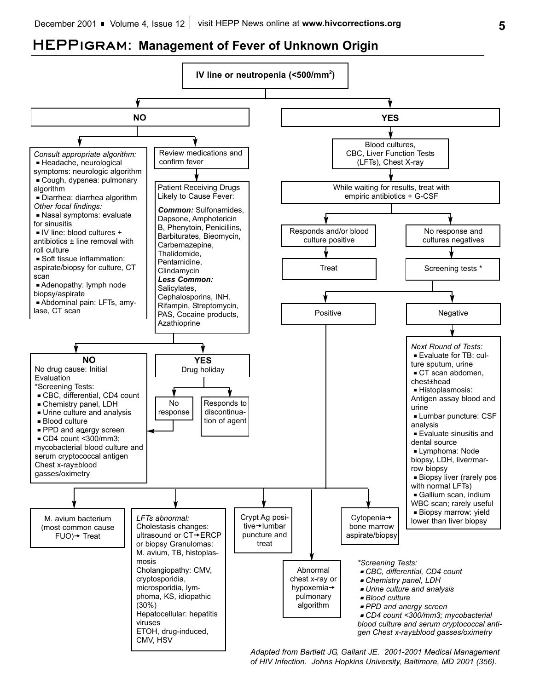# **HEPPigram: Management of Fever of Unknown Origin**



*Adapted from Bartlett JG, Gallant JE. 2001-2001 Medical Management of HIV Infection. Johns Hopkins University, Baltimore, MD 2001 (356).*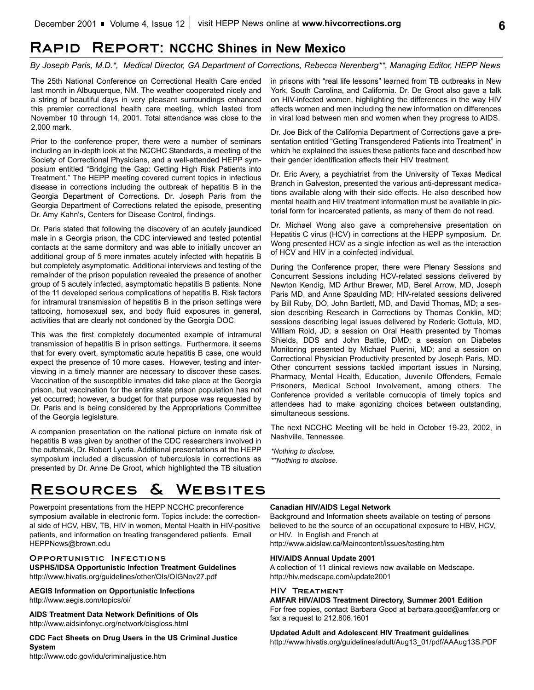# **Rapid Report: NCCHC Shines in New Mexico**

*By Joseph Paris, M.D.\*, Medical Director, GA Department of Corrections, Rebecca Nerenberg\*\*, Managing Editor, HEPP News*

The 25th National Conference on Correctional Health Care ended last month in Albuquerque, NM. The weather cooperated nicely and a string of beautiful days in very pleasant surroundings enhanced this premier correctional health care meeting, which lasted from November 10 through 14, 2001. Total attendance was close to the 2,000 mark.

Prior to the conference proper, there were a number of seminars including an in-depth look at the NCCHC Standards, a meeting of the Society of Correctional Physicians, and a well-attended HEPP symposium entitled "Bridging the Gap: Getting High Risk Patients into Treatment." The HEPP meeting covered current topics in infectious disease in corrections including the outbreak of hepatitis B in the Georgia Department of Corrections. Dr. Joseph Paris from the Georgia Department of Corrections related the episode, presenting Dr. Amy Kahn's, Centers for Disease Control, findings.

Dr. Paris stated that following the discovery of an acutely jaundiced male in a Georgia prison, the CDC interviewed and tested potential contacts at the same dormitory and was able to initially uncover an additional group of 5 more inmates acutely infected with hepatitis B but completely asymptomatic. Additional interviews and testing of the remainder of the prison population revealed the presence of another group of 5 acutely infected, asymptomatic hepatitis B patients. None of the 11 developed serious complications of hepatitis B. Risk factors for intramural transmission of hepatitis B in the prison settings were tattooing, homosexual sex, and body fluid exposures in general, activities that are clearly not condoned by the Georgia DOC.

This was the first completely documented example of intramural transmission of hepatitis B in prison settings. Furthermore, it seems that for every overt, symptomatic acute hepatitis B case, one would expect the presence of 10 more cases. However, testing and interviewing in a timely manner are necessary to discover these cases. Vaccination of the susceptible inmates did take place at the Georgia prison, but vaccination for the entire state prison population has not yet occurred; however, a budget for that purpose was requested by Dr. Paris and is being considered by the Appropriations Committee of the Georgia legislature.

A companion presentation on the national picture on inmate risk of hepatitis B was given by another of the CDC researchers involved in the outbreak, Dr. Robert Lyerla. Additional presentations at the HEPP symposium included a discussion of tuberculosis in corrections as presented by Dr. Anne De Groot, which highlighted the TB situation in prisons with "real life lessons" learned from TB outbreaks in New York, South Carolina, and California. Dr. De Groot also gave a talk on HIV-infected women, highlighting the differences in the way HIV affects women and men including the new information on differences in viral load between men and women when they progress to AIDS.

Dr. Joe Bick of the California Department of Corrections gave a presentation entitled "Getting Transgendered Patients into Treatment" in which he explained the issues these patients face and described how their gender identification affects their HIV treatment.

Dr. Eric Avery, a psychiatrist from the University of Texas Medical Branch in Galveston, presented the various anti-depressant medications available along with their side effects. He also described how mental health and HIV treatment information must be available in pictorial form for incarcerated patients, as many of them do not read.

Dr. Michael Wong also gave a comprehensive presentation on Hepatitis C virus (HCV) in corrections at the HEPP symposium. Dr. Wong presented HCV as a single infection as well as the interaction of HCV and HIV in a coinfected individual.

During the Conference proper, there were Plenary Sessions and Concurrent Sessions including HCV-related sessions delivered by Newton Kendig, MD Arthur Brewer, MD, Berel Arrow, MD, Joseph Paris MD, and Anne Spaulding MD; HIV-related sessions delivered by Bill Ruby, DO, John Bartlett, MD, and David Thomas, MD; a session describing Research in Corrections by Thomas Conklin, MD; sessions describing legal issues delivered by Roderic Gottula, MD, William Rold, JD; a session on Oral Health presented by Thomas Shields, DDS and John Battle, DMD; a session on Diabetes Monitoring presented by Michael Puerini, MD; and a session on Correctional Physician Productivity presented by Joseph Paris, MD. Other concurrent sessions tackled important issues in Nursing, Pharmacy, Mental Health, Education, Juvenile Offenders, Female Prisoners, Medical School Involvement, among others. The Conference provided a veritable cornucopia of timely topics and attendees had to make agonizing choices between outstanding, simultaneous sessions.

The next NCCHC Meeting will be held in October 19-23, 2002, in Nashville, Tennessee.

*\*Nothing to disclose. \*\*Nothing to disclose.*

# **Resources & Websites**

Powerpoint presentations from the HEPP NCCHC preconference symposium available in electronic form. Topics include: the correctional side of HCV, HBV, TB, HIV in women, Mental Health in HIV-positive patients, and information on treating transgendered patients. Email HEPPNews@brown.edu

### **Opportunistic Infections**

**USPHS/IDSA Opportunistic Infection Treatment Guidelines** http://www.hivatis.org/guidelines/other/OIs/OIGNov27.pdf

**AEGIS Information on Opportunistic Infections** http://www.aegis.com/topics/oi/

**AIDS Treatment Data Network Definitions of OIs** http://www.aidsinfonyc.org/network/oisgloss.html

**CDC Fact Sheets on Drug Users in the US Criminal Justice System**

http://www.cdc.gov/idu/criminaljustice.htm

### **Canadian HIV/AIDS Legal Network**

Background and Information sheets available on testing of persons believed to be the source of an occupational exposure to HBV, HCV, or HIV. In English and French at http://www.aidslaw.ca/Maincontent/issues/testing.htm

### **HIV/AIDS Annual Update 2001**

A collection of 11 clinical reviews now available on Medscape. http://hiv.medscape.com/update2001

### **HIV Treatment**

**AMFAR HIV/AIDS Treatment Directory, Summer 2001 Edition** For free copies, contact Barbara Good at barbara.good@amfar.org or fax a request to 212.806.1601

**Updated Adult and Adolescent HIV Treatment guidelines** http://www.hivatis.org/guidelines/adult/Aug13\_01/pdf/AAAug13S.PDF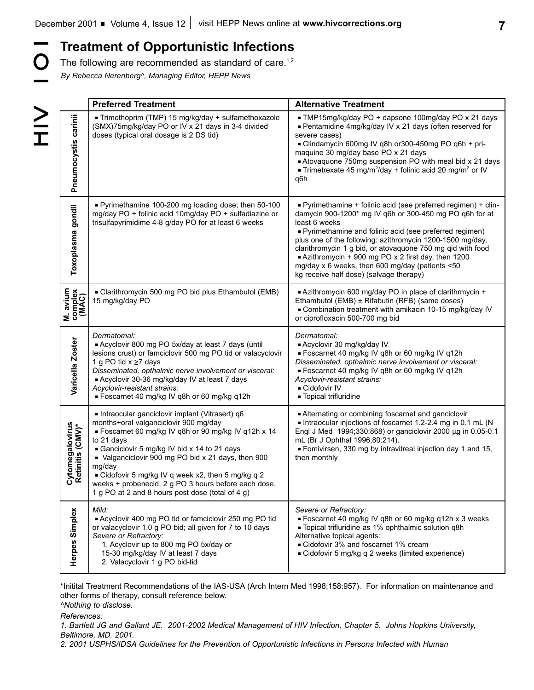|                                                                                                                                                                                                                                                                                                                                                                    | <b>Treatment of Opportunistic Infections</b>                                                                                                                                                                                                                                                                                                                                                                                                                                                                                                                                                                                                     |                                                                                                                                                                                                                                                                                                                                                                                          |  |  |
|--------------------------------------------------------------------------------------------------------------------------------------------------------------------------------------------------------------------------------------------------------------------------------------------------------------------------------------------------------------------|--------------------------------------------------------------------------------------------------------------------------------------------------------------------------------------------------------------------------------------------------------------------------------------------------------------------------------------------------------------------------------------------------------------------------------------------------------------------------------------------------------------------------------------------------------------------------------------------------------------------------------------------------|------------------------------------------------------------------------------------------------------------------------------------------------------------------------------------------------------------------------------------------------------------------------------------------------------------------------------------------------------------------------------------------|--|--|
|                                                                                                                                                                                                                                                                                                                                                                    | The following are recommended as standard of care. <sup>1,2</sup><br>By Rebecca Nerenberg^, Managing Editor, HEPP News                                                                                                                                                                                                                                                                                                                                                                                                                                                                                                                           |                                                                                                                                                                                                                                                                                                                                                                                          |  |  |
|                                                                                                                                                                                                                                                                                                                                                                    |                                                                                                                                                                                                                                                                                                                                                                                                                                                                                                                                                                                                                                                  |                                                                                                                                                                                                                                                                                                                                                                                          |  |  |
| $\geq$<br>$\frac{>}{\Gamma}$                                                                                                                                                                                                                                                                                                                                       | <b>Preferred Treatment</b>                                                                                                                                                                                                                                                                                                                                                                                                                                                                                                                                                                                                                       | <b>Alternative Treatment</b>                                                                                                                                                                                                                                                                                                                                                             |  |  |
| carinii<br>Pneumocystis                                                                                                                                                                                                                                                                                                                                            | Trimethoprim (TMP) 15 mg/kg/day + sulfamethoxazole<br>(SMX)75mg/kg/day PO or IV x 21 days in 3-4 divided<br>doses (typical oral dosage is 2 DS tid)                                                                                                                                                                                                                                                                                                                                                                                                                                                                                              | TMP15mg/kg/day PO + dapsone 100mg/day PO x 21 days<br>■ Pentamidine 4mg/kg/day IV x 21 days (often reserved for<br>severe cases)<br>- Clindamycin 600mg IV q8h or300-450mg PO q6h + pri-<br>maquine 30 mg/day base PO x 21 days<br>Atovaquone 750mg suspension PO with meal bid x 21 days<br><b>Trimetrexate 45 mg/m<sup>2</sup>/day + folinic acid 20 mg/m<sup>2</sup> or IV</b><br>q6h |  |  |
| Pyrimethamine 100-200 mg loading dose; then 50-100<br>gondii<br>mg/day PO + folinic acid 10mg/day PO + sulfadiazine or<br>trisulfapyrimidime 4-8 g/day PO for at least 6 weeks<br>least 6 weeks<br>Toxoplasma<br>■ Azithromycin + 900 mg PO x 2 first day, then 1200<br>mg/day x 6 weeks, then 600 mg/day (patients <50<br>kg receive half dose) (salvage therapy) |                                                                                                                                                                                                                                                                                                                                                                                                                                                                                                                                                                                                                                                  | - Pyrimethamine + folinic acid (see preferred regimen) + clin-<br>damycin 900-1200* mg IV q6h or 300-450 mg PO q6h for at<br>■ Pyrimethamine and folinic acid (see preferred regimen)<br>plus one of the following: azithromycin 1200-1500 mg/day,<br>clarithromycin 1 g bid, or atovaquone 750 mg qid with food                                                                         |  |  |
| M. avium<br>complex<br>(MAC)                                                                                                                                                                                                                                                                                                                                       | - Clarithromycin 500 mg PO bid plus Ethambutol (EMB)<br>15 mg/kg/day PO                                                                                                                                                                                                                                                                                                                                                                                                                                                                                                                                                                          | Azithromycin 600 mg/day PO in place of clarithrmycin +<br>Ethambutol (EMB) ± Rifabutin (RFB) (same doses)<br>- Combination treatment with amikacin 10-15 mg/kg/day IV<br>or ciprofloxacin 500-700 mg bid                                                                                                                                                                                 |  |  |
| Varicella Zoster                                                                                                                                                                                                                                                                                                                                                   | Dermatomal:<br>Dermatomal:<br>Acyclovir 800 mg PO 5x/day at least 7 days (until<br>- Acyclovir 30 mg/kg/day IV<br>lesions crust) or famciclovir 500 mg PO tid or valacyclovir<br>■ Foscarnet 40 mg/kg IV q8h or 60 mg/kg IV q12h<br>Disseminated, opthalmic nerve involvement or visceral:<br>1 g PO tid $x \ge 7$ days<br>Disseminated, opthalmic nerve involvement or visceral:<br>■ Foscarnet 40 mg/kg IV q8h or 60 mg/kg IV q12h<br>Acyclovir 30-36 mg/kg/day IV at least 7 days<br>Acyclovir-resistant strains:<br>Acyclovir-resistant strains:<br>- Cidofovir IV<br>■ Foscarnet 40 mg/kg IV q8h or 60 mg/kg q12h<br>- Topical trifluridine |                                                                                                                                                                                                                                                                                                                                                                                          |  |  |
| Cytomegalovirus<br>Retinitis (CMV)*                                                                                                                                                                                                                                                                                                                                | Intraocular ganciclovir implant (Vitrasert) q6<br>months+oral valganciclovir 900 mg/day<br>Foscarnet 60 mg/kg IV q8h or 90 mg/kg IV q12h x 14<br>to 21 days<br>Ganciclovir 5 mg/kg IV bid x 14 to 21 days<br>• Valganciclovir 900 mg PO bid x 21 days, then 900<br>mg/day<br>■ Cidofovir 5 mg/kg IV q week x2, then 5 mg/kg q 2<br>weeks + probenecid, 2 g PO 3 hours before each dose,<br>1 g PO at 2 and 8 hours post dose (total of 4 g)                                                                                                                                                                                                      | - Alternating or combining foscarnet and ganciclovir<br>Intraocular injections of foscarnet 1.2-2.4 mg in 0.1 mL (N<br>Engl J Med 1994;330:868) or ganciclovir 2000 µg in 0.05-0.1<br>mL (Br J Ophthal 1996;80:214).<br>Fomivirsen, 330 mg by intravitreal injection day 1 and 15,<br>then monthly                                                                                       |  |  |
| Herpes Simplex                                                                                                                                                                                                                                                                                                                                                     | Mild:<br>Acyclovir 400 mg PO tid or famciclovir 250 mg PO tid<br>or valacyclovir 1.0 g PO bid; all given for 7 to 10 days<br>Severe or Refractory:<br>1. Acyclovir up to 800 mg PO 5x/day or<br>15-30 mg/kg/day IV at least 7 days<br>2. Valacyclovir 1 g PO bid-tid                                                                                                                                                                                                                                                                                                                                                                             | Severe or Refractory:<br>■ Foscarnet 40 mg/kg IV q8h or 60 mg/kg q12h x 3 weeks<br>- Topical trifluridine as 1% ophthalmic solution q8h<br>Alternative topical agents:<br>- Cidofovir 3% and foscarnet 1% cream<br>■ Cidofovir 5 mg/kg q 2 weeks (limited experience)                                                                                                                    |  |  |

\*Initital Treatment Recommendations of the IAS-USA (Arch Intern Med 1998;158:957). For information on maintenance and other forms of therapy, consult reference below.

*^Nothing to disclose.*

*References:*

*1. Bartlett JG and Gallant JE. 2001-2002 Medical Management of HIV Infection, Chapter 5. Johns Hopkins University, Baltimore, MD. 2001.*

*2. 2001 USPHS/IDSA Guidelines for the Prevention of Opportunistic Infections in Persons Infected with Human*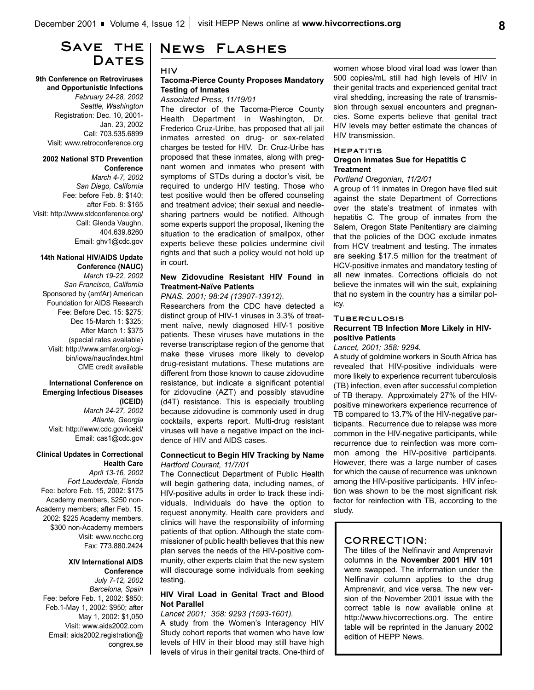# **Save the**  DATES

**9th Conference on Retroviruses and Opportunistic Infections** *February 24-28, 2002 Seattle, Washington* Registration: Dec. 10, 2001- Jan. 23, 2002 Call: 703.535.6899 Visit: www.retroconference.org

### **2002 National STD Prevention Conference**

*March 4-7, 2002 San Diego, California* Fee: before Feb. 8: \$140; after Feb. 8: \$165 Visit: http://www.stdconference.org/ Call: Glenda Vaughn, 404.639.8260 Email: ghv1@cdc.gov

### **14th National HIV/AIDS Update Conference (NAUC)**

*March 19-22, 2002 San Francisco, California* Sponsored by (amfAr) American Foundation for AIDS Research Fee: Before Dec. 15: \$275; Dec 15-March 1: \$325; After March 1: \$375 (special rates available) Visit: http://www.amfar.org/cgibin/iowa/nauc/index.html CME credit available

### **International Conference on Emerging Infectious Diseases (ICEID)**

*March 24-27, 2002 Atlanta, Georgia* Visit: http://www.cdc.gov/iceid/ Email: cas1@cdc.gov

### **Clinical Updates in Correctional Health Care**

*April 13-16, 2002 Fort Lauderdale, Florida* Fee: before Feb. 15, 2002: \$175 Academy members, \$250 non-Academy members; after Feb. 15, 2002: \$225 Academy members, \$300 non-Academy members Visit: www.ncchc.org Fax: 773.880.2424

### **XIV International AIDS Conference**

*July 7-12, 2002 Barcelona, Spain* Fee: before Feb. 1, 2002: \$850; Feb.1-May 1, 2002: \$950; after May 1, 2002: \$1,050 Visit: www.aids2002.com Email: aids2002.registration@ congrex.se

# **News Flashes**

### **HIV**

### **Tacoma-Pierce County Proposes Mandatory Testing of Inmates**

### *Associated Press, 11/19/01*

The director of the Tacoma-Pierce County Health Department in Washington, Dr. Frederico Cruz-Uribe, has proposed that all jail inmates arrested on drug- or sex-related charges be tested for HIV. Dr. Cruz-Uribe has proposed that these inmates, along with pregnant women and inmates who present with symptoms of STDs during a doctor's visit, be required to undergo HIV testing. Those who test positive would then be offered counseling and treatment advice; their sexual and needlesharing partners would be notified. Although some experts support the proposal, likening the situation to the eradication of smallpox, other experts believe these policies undermine civil rights and that such a policy would not hold up in court.

### **New Zidovudine Resistant HIV Found in Treatment-Naïve Patients**

### *PNAS. 2001; 98:24 (13907-13912).*

Researchers from the CDC have detected a distinct group of HIV-1 viruses in 3.3% of treatment naïve, newly diagnosed HIV-1 positive patients. These viruses have mutations in the reverse transcriptase region of the genome that make these viruses more likely to develop drug-resistant mutations. These mutations are different from those known to cause zidovudine resistance, but indicate a significant potential for zidovudine (AZT) and possibly stavudine (d4T) resistance. This is especially troubling because zidovudine is commonly used in drug cocktails, experts report. Multi-drug resistant viruses will have a negative impact on the incidence of HIV and AIDS cases.

### **Connecticut to Begin HIV Tracking by Name** *Hartford Courant, 11/7/01*

The Connecticut Department of Public Health will begin gathering data, including names, of HIV-positive adults in order to track these individuals. Individuals do have the option to request anonymity. Health care providers and clinics will have the responsibility of informing patients of that option. Although the state commissioner of public health believes that this new plan serves the needs of the HIV-positive community, other experts claim that the new system will discourage some individuals from seeking testing.

## **HIV Viral Load in Genital Tract and Blood Not Parallel**

### *Lancet 2001; 358: 9293 (1593-1601).*

A study from the Women's Interagency HIV Study cohort reports that women who have low levels of HIV in their blood may still have high levels of virus in their genital tracts. One-third of women whose blood viral load was lower than 500 copies/mL still had high levels of HIV in their genital tracts and experienced genital tract viral shedding, increasing the rate of transmission through sexual encounters and pregnancies. Some experts believe that genital tract HIV levels may better estimate the chances of HIV transmission.

### **Hepatitis**

### **Oregon Inmates Sue for Hepatitis C Treatment**

### *Portland Oregonian, 11/2/01*

A group of 11 inmates in Oregon have filed suit against the state Department of Corrections over the state's treatment of inmates with hepatitis C. The group of inmates from the Salem, Oregon State Penitentiary are claiming that the policies of the DOC exclude inmates from HCV treatment and testing. The inmates are seeking \$17.5 million for the treatment of HCV-positive inmates and mandatory testing of all new inmates. Corrections officials do not believe the inmates will win the suit, explaining that no system in the country has a similar policy.

### **Tuberculosis**

## **Recurrent TB Infection More Likely in HIVpositive Patients**

*Lancet, 2001; 358: 9294.*

A study of goldmine workers in South Africa has revealed that HIV-positive individuals were more likely to experience recurrent tuberculosis (TB) infection, even after successful completion of TB therapy. Approximately 27% of the HIVpositive mineworkers experience recurrence of TB compared to 13.7% of the HIV-negative participants. Recurrence due to relapse was more common in the HIV-negative participants, while recurrence due to reinfection was more common among the HIV-positive participants. However, there was a large number of cases for which the cause of recurrence was unknown among the HIV-positive participants. HIV infection was shown to be the most significant risk factor for reinfection with TB, according to the study.

## **CORRECTION:**

The titles of the Nelfinavir and Amprenavir columns in the **November 2001 HIV 101** were swapped. The information under the Nelfinavir column applies to the drug Amprenavir, and vice versa. The new version of the November 2001 issue with the correct table is now available online at http://www.hivcorrections.org. The entire table will be reprinted in the January 2002 edition of HEPP News.